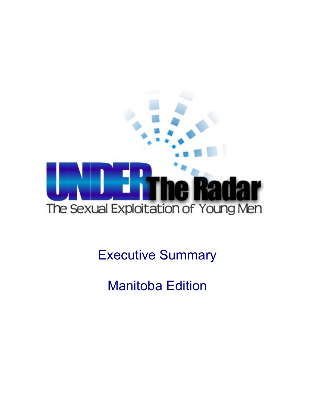

Executive Summary

Manitoba Edition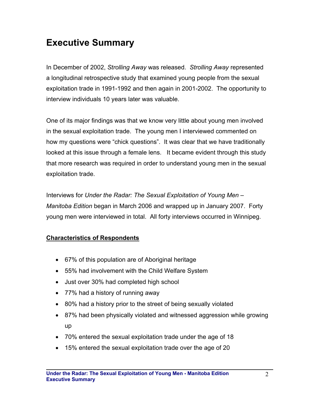## **Executive Summary**

In December of 2002, *Strolling Away* was released. *Strolling Away* represented a longitudinal retrospective study that examined young people from the sexual exploitation trade in 1991-1992 and then again in 2001-2002. The opportunity to interview individuals 10 years later was valuable.

One of its major findings was that we know very little about young men involved in the sexual exploitation trade. The young men I interviewed commented on how my questions were "chick questions". It was clear that we have traditionally looked at this issue through a female lens. It became evident through this study that more research was required in order to understand young men in the sexual exploitation trade.

Interviews for *Under the Radar: The Sexual Exploitation of Young Men* – *Manitoba Edition* began in March 2006 and wrapped up in January 2007. Forty young men were interviewed in total. All forty interviews occurred in Winnipeg.

## **Characteristics of Respondents**

- 67% of this population are of Aboriginal heritage
- 55% had involvement with the Child Welfare System
- Just over 30% had completed high school
- 77% had a history of running away
- 80% had a history prior to the street of being sexually violated
- 87% had been physically violated and witnessed aggression while growing up
- 70% entered the sexual exploitation trade under the age of 18
- 15% entered the sexual exploitation trade over the age of 20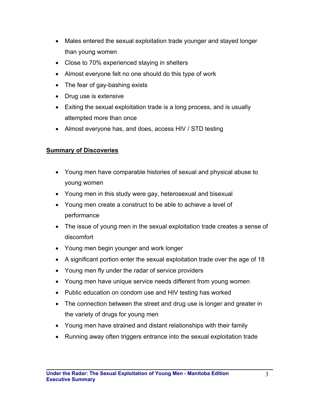- Males entered the sexual exploitation trade younger and stayed longer than young women
- Close to 70% experienced staying in shelters
- Almost everyone felt no one should do this type of work
- The fear of gay-bashing exists
- Drug use is extensive
- Exiting the sexual exploitation trade is a long process, and is usually attempted more than once
- Almost everyone has, and does, access HIV / STD testing

## **Summary of Discoveries**

- Young men have comparable histories of sexual and physical abuse to young women
- Young men in this study were gay, heterosexual and bisexual
- Young men create a construct to be able to achieve a level of performance
- The issue of young men in the sexual exploitation trade creates a sense of discomfort
- Young men begin younger and work longer
- A significant portion enter the sexual exploitation trade over the age of 18
- Young men fly under the radar of service providers
- Young men have unique service needs different from young women
- Public education on condom use and HIV testing has worked
- The connection between the street and drug use is longer and greater in the variety of drugs for young men
- Young men have strained and distant relationships with their family
- Running away often triggers entrance into the sexual exploitation trade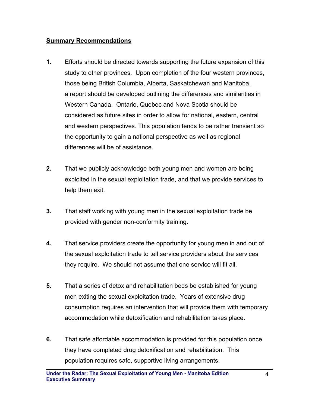## **Summary Recommendations**

- **1.** Efforts should be directed towards supporting the future expansion of this study to other provinces. Upon completion of the four western provinces, those being British Columbia, Alberta, Saskatchewan and Manitoba, a report should be developed outlining the differences and similarities in Western Canada. Ontario, Quebec and Nova Scotia should be considered as future sites in order to allow for national, eastern, central and western perspectives. This population tends to be rather transient so the opportunity to gain a national perspective as well as regional differences will be of assistance.
- **2.** That we publicly acknowledge both young men and women are being exploited in the sexual exploitation trade, and that we provide services to help them exit.
- **3.** That staff working with young men in the sexual exploitation trade be provided with gender non-conformity training.
- **4.** That service providers create the opportunity for young men in and out of the sexual exploitation trade to tell service providers about the services they require. We should not assume that one service will fit all.
- **5.** That a series of detox and rehabilitation beds be established for young men exiting the sexual exploitation trade. Years of extensive drug consumption requires an intervention that will provide them with temporary accommodation while detoxification and rehabilitation takes place.
- **6.** That safe affordable accommodation is provided for this population once they have completed drug detoxification and rehabilitation. This population requires safe, supportive living arrangements.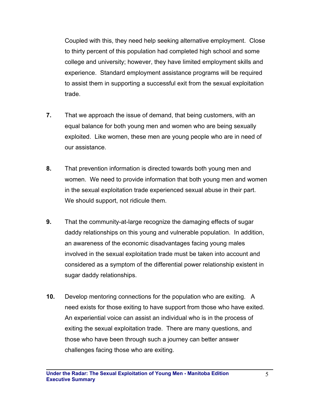Coupled with this, they need help seeking alternative employment. Close to thirty percent of this population had completed high school and some college and university; however, they have limited employment skills and experience. Standard employment assistance programs will be required to assist them in supporting a successful exit from the sexual exploitation trade.

- **7.** That we approach the issue of demand, that being customers, with an equal balance for both young men and women who are being sexually exploited. Like women, these men are young people who are in need of our assistance.
- **8.** That prevention information is directed towards both young men and women. We need to provide information that both young men and women in the sexual exploitation trade experienced sexual abuse in their part. We should support, not ridicule them.
- **9.** That the community-at-large recognize the damaging effects of sugar daddy relationships on this young and vulnerable population. In addition, an awareness of the economic disadvantages facing young males involved in the sexual exploitation trade must be taken into account and considered as a symptom of the differential power relationship existent in sugar daddy relationships.
- **10.** Develop mentoring connections for the population who are exiting. A need exists for those exiting to have support from those who have exited. An experiential voice can assist an individual who is in the process of exiting the sexual exploitation trade. There are many questions, and those who have been through such a journey can better answer challenges facing those who are exiting.